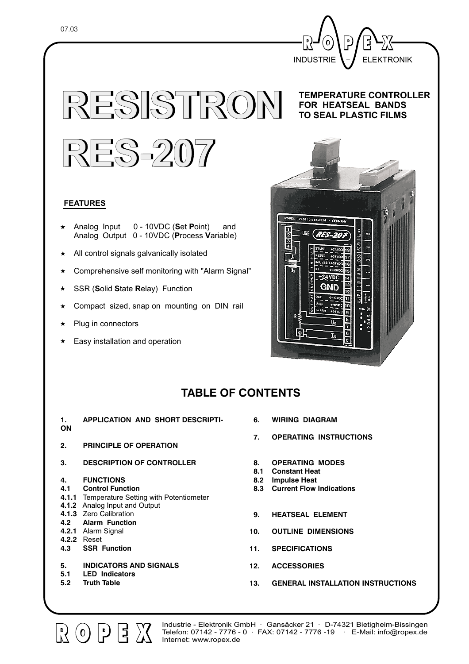

**RESISTRON RESISTRON**

#### **TEMPERATURE CONTROLLER FOR HEATSEAL BANDS TO SEAL PLASTIC FILMS**



### **FEATURES**

- Analog Input 0 10VDC (Set Point) and Analog Output 0 - 10VDC (Process Variable)
- $\star$  All control signals galvanically isolated
- \* Comprehensive self monitoring with "Alarm Signal"
- SSR (Solid State Relay) Function
- \* Compact sized, snap on mounting on DIN rail
- $\star$  Plug in connectors
- $\star$  Easy installation and operation



# **TABLE OF CONTENTS**

- **1. APPLICATION AND SHORT DESCRIPTI-ON**
- **2. PRINCIPLE OF OPERATION**
- **3. DESCRIPTION OF CONTROLLER**
- **4. FUNCTIONS**

#### **4.1 Control Function**

- **4.1.1** Temperature Setting with Potentiometer
- **4.1.2** Analog Input and Output
- **4.1.3** Zero Calibration
- **4.2 Alarm Function**
- **4.2.1** Alarm Signal
- **4.2.2** Reset
- **4.3 SSR Function**
- **5. INDICATORS AND SIGNALS**

[북

- **5.1 LED Indicators**
- **5.2 Truth Table**

 $\left[\begin{matrix} 1 \\ 0 \end{matrix}\right]$  (0)  $\left[\begin{matrix} 1 \\ 0 \end{matrix}\right]$ 

- **6. WIRING DIAGRAM**
- **7. OPERATING INSTRUCTIONS**
- **8. OPERATING MODES**
- **8.1 Constant Heat**
- **8.2 Impulse Heat**
- **8.3 Current Flow Indications**
- **9. HEATSEAL ELEMENT**
- **10. OUTLINE DIMENSIONS**
- **11. SPECIFICATIONS**
- **12. ACCESSORIES**
- **13. GENERAL INSTALLATION INSTRUCTIONS**

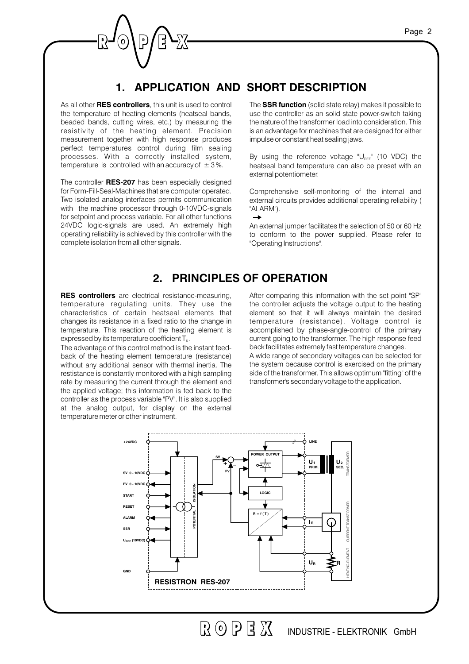# **1. APPLICATION AND SHORT DESCRIPTION**

As all other **RES controllers**, this unit is used to control the temperature of heating elements (heatseal bands, beaded bands, cutting wires, etc.) by measuring the resistivity of the heating element. Precision measurement together with high response produces perfect temperatures control during film sealing processes. With a correctly installed system, temperature is controlled with an accuracy of  $\pm$  3%.

The controller RES-207 has been especially designed for Form-Fill-Seal-Machines that are computer operated. Two isolated analog interfaces permits communication with the machine processor through 0-10VDC-signals for setpoint and process variable. For all other functions 24VDC logic-signals are used. An extremely high operating reliability is achieved by this controller with the complete isolation from all other signals.

The SSR function (solid state relay) makes it possible to use the controller as an solid state power-switch taking the nature of the transformer loadinto consideration. This is an advantage for machines that are designed for either impulse or constant heat sealing jaws.

By using the reference voltage " $\mathsf{U}_{\scriptscriptstyle\mathrm{REF}}$ " (10 VDC) the heatseal band temperature can also be preset with an external potentiometer.

Comprehensive self-monitoring of the internal and external circuits provides additional operating reliability ( "ALARM").  $\rightarrow$ 

An external jumper facilitates the selection of 50 or 60 Hz to conform to the power supplied. Please refer to "Operating Instructions".

## **2. PRINCIPLES OF OPERATION**

**RES controllers** are electrical resistance-measuring, temperature regulating units. They use the characteristics of certain heatseal elements that changes its resistance in a fixed ratio to the change in temperature. This reaction of the heating element is expressed by its temperature coefficient  $\mathsf{T}_{\kappa}$ .

The advantage of this control method is the instant feedback of the heating element temperature (resistance) without any additional sensor with thermal inertia. The restistance is constantly monitored with a high sampling rate by measuring the current through the element and the applied voltage; this information is fed back to the controller as the process variable "PV". It is also supplied at the analog output, for display on the external temperature meter or other instrument.

After comparing this information with the set point "SP" the controller adjusts the voltage output to the heating element so that it will always maintain the desired temperature (resistance). Voltage control is accomplished by phase-angle-control of the primary current going to the transformer. The high response feed back facilitates extremely fast temperature changes. A wide range of secondary voltages can be selected for the system because control is exercised on the primary side of the transformer. This allows optimum "fitting" of the transformer's secondary voltage to the application.



 $R$  (a)  $R$   $R$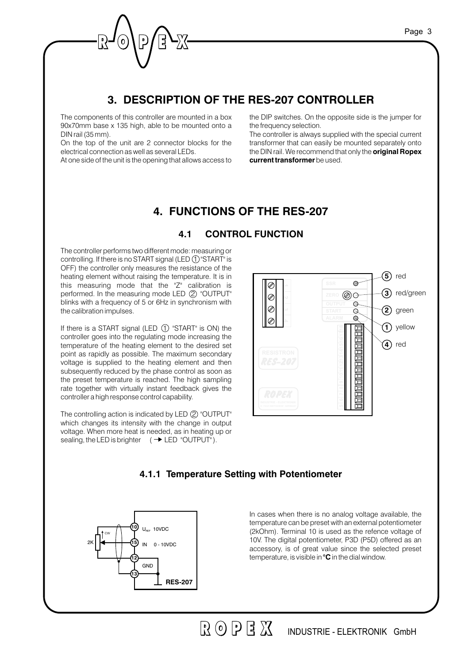# **3. DESCRIPTION OF THE RES-207 CONTROLLER**

The components of this controller are mounted in a box 90x70mm base x 135 high, able to be mounted onto a DIN rail (35 mm).

On the top of the unit are 2 connector blocks for the electrical connection as well as several LEDs.

At one side of the unit is the opening that allows access to

the DIP switches. On the opposite side is the jumper for the frequency selection.

The controller is always supplied with the special current transformer that can easily be mounted separately onto the DIN rail. We recommend that only the **original Ropex current transformer** be used.

## **4. FUNCTIONS OF THE RES-207**

#### **4.1 CONTROL FUNCTION**

The controller performs two different mode: measuring or controlling. If there is no START signal (LED  $\textcircled{1}$  "START" is OFF) the controller only measures the resistance of the heating element without raising the temperature. It is in this measuring mode that the "Z" calibration is performed. In the measuring mode LED  $(2)$  "OUTPUT" blinks with a frequency of 5 or 6Hz in synchronism with the calibration impulses.

If there is a START signal (LED  $(1)$  "START" is ON) the controller goes into the regulating mode increasing the temperature of the heating element to the desired set point as rapidly as possible. The maximum secondary voltage is supplied to the heating element and then subsequently reduced by the phase control as soon as the preset temperature is reached. The high sampling rate together with virtually instant feedback gives the controller a high response control capability.

The controlling action is indicated by LED (2) "OUTPUT" which changes its intensity with the change in output voltage. When more heat is needed, as in heating up or sealing, the LED is brighter  $(\rightarrow$  LED "OUTPUT").



### **4.1.1 Temperature Setting with Potentiometer**



In cases when there is no analog voltage available, the temperature can be preset with an external potentiometer (2kOhm). Terminal 10 is used as the refence voltage of 10V. The digital potentiometer, P3D (P5D) offered as an accessory, is of great value since the selected preset temperature, is visible in  $\textdegree C$  in the dial window.

 $R$  (0)  $R$   $\overline{R}$  (0)  $R$ INDUSTRIE - ELEKTRONIK GmbH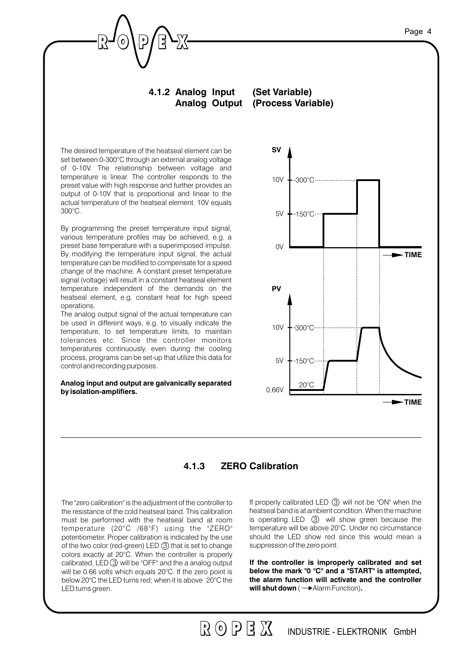#### **4.1.2 Analog Input Analog Output (Process Variable) (Set Variable)**

The desired temperature of the heatseal element can be set between 0-300°C through an external analog voltage of 0-10V. The relationship between voltage and temperature is linear. The controller responds to the preset value with high response and further provides an output of 0-10V that is proportional and linear to the actual temperature of the heatseal element. 10V equals 300°C.

By programming the preset temperature input signal, various temperature profiles may be achieved, e.g. a preset base temperature with a superimposed impulse. By modifying the temperature input signal, the actual temperature can be modified to compensate for a speed change of the machine. A constant preset temperature signal (voltage) will result in a constant heatseal element temperature independent of the demands on the heatseal element, e.g. constant heat for high speed operations.

The analog output signal of the actual temperature can be used in different ways, e.g. to visually indicate the temperature, to set temperature limits, to maintain tolerances etc. Since the controller monitors temperatures continuously, even during the cooling process, programs can be set-up that utilize this data for control and recording purposes.

**Analog input and output are galvanically separated by isolation-amplifiers.**



### **4.1.3 ZERO Calibration**

The "zero calibration" is the adjustment of the controller to the resistance of the cold heatseal band. This calibration must be performed with the heatseal band at room temperature (20°C /68°F) using the "ZERO" potentiometer. Proper calibration is indicated by the use of the two color (red-green) LED 3 that is set to change colors exactly at 20°C. When the controller is properly calibrated, LED 3 will be "OFF" and the a analog output will be 0.66 volts which equals 20°C. If the zero point is below 20°C the LED turns red; when it is above 20°C the LED turns green.

If properly calibrated LED  $(3)$  will not be "ON" when the heatseal band is at ambient condition. When the machine is operating LED  $(3)$  will show green because the temperature will be above 20°C. Under no circumstance should the LED show red since this would mean a suppression of the zero point.

will shut down (  $\rightarrow$  Alarm Function). **If the controller is improperly calibrated and set below the mark "0 °C" and a "START" is attempted,** the alarm function will activate and the controller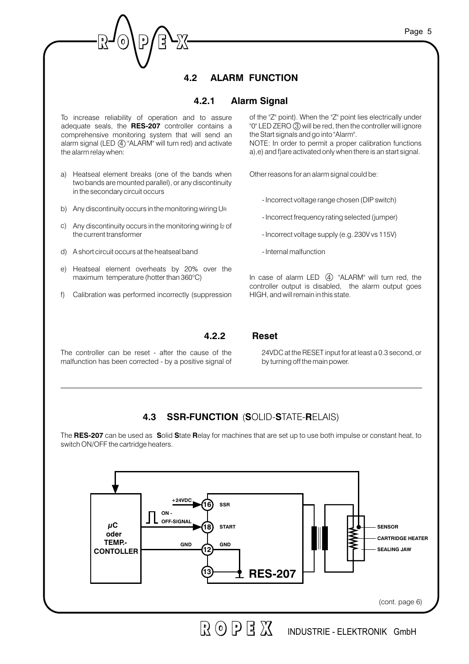# **4.2 ALARM FUNCTION**

#### **4.2.1 AlarmSignal**

To increase reliability of operation and to assure adequate seals, the RES-207 controller contains a comprehensive monitoring system that will send an alarm signal (LED  $\overline{4}$ ) "ALARM" will turn red) and activate the alarm relay when:

- Heatseal element breaks (one of the bands when a) two bands are mounted parallel), or any discontinuity in the secondary circuit occurs
- b) Any discontinuity occurs in the monitoring wiring UR
- c) Any discontinuity occurs in the monitoring wiring I2 of the current transformer
- A short circuit occurs at the heatseal band d)
- e) Heatseal element overheats by 20% over the maximum temperature (hotter than 360°C)
- f) Calibration was performed incorrectly (suppression

of the "Z" point). When the "Z" point lies electrically under "0" LED ZERO (3) will be red, then the controller will ignore the Start signals and go into "Alarm". NOTE: In order to permit a proper calibration functions a),e) and f)are activated only when there is an start signal.

Other reasons for an alarm signal could be:

- Incorrect voltage range chosen (DIP switch)
- Incorrect frequency rating selected(jumper)
- Incorrect voltage supply (e.g. 230V vs 115V)
- Internal malfunction

In case of alarm LED  $\left( \overline{4} \right)$  "ALARM" will turn red, the controller output is disabled, the alarm output goes HIGH, andwill remain in this state.

The controller can be reset - after the cause of the malfunction has been corrected- by a positive signal of

24VDC at the RESET input for at least a 0.3 second, or by turning off the main power.

## **4.3 SSR-FUNCTION (SOLID-STATE-RELAIS)**

**4.2.2 Reset**

The **RES-207** can be used as Solid State Relay for machines that are set up to use both impulse or constant heat, to switch ON/OFF the cartridge heaters.

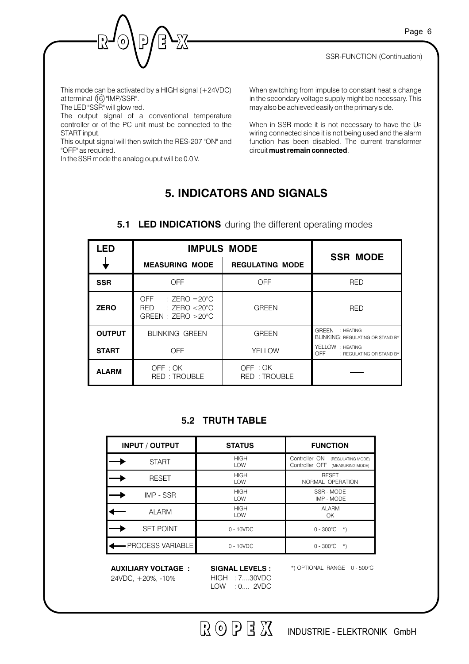SSR-FUNCTION (Continuation)



This mode can be activated by a HIGH signal (+24VDC) at terminal  $(16)$  "IMP/SSR".

The LED "SSR" will glow red.

The output signal of a conventional temperature controller or of the PC unit must be connected to the START input.

This output signal will then switch the RES-207 "ON" and "OFF" as required.

In the SSR mode the analog ouput will be 0.0 V.

When switching from impulse to constant heat a change in the secondary voltage supply might be necessary. This may also be achievedeasily on the primary side.

When in SSR mode it is not necessary to have the U R wiring connected since it is not being used and the alarm function has been disabled. The current transformer circuit **must remain connected**.

# **5. INDICATORS AND SIGNALS**

| <b>LED</b>    |                                                                                            | <b>IMPULS MODE</b>      | <b>SSR MODE</b>                                                      |
|---------------|--------------------------------------------------------------------------------------------|-------------------------|----------------------------------------------------------------------|
|               | <b>MEASURING MODE</b>                                                                      | <b>REGULATING MODE</b>  |                                                                      |
| <b>SSR</b>    | <b>OFF</b>                                                                                 | OFF                     | <b>RED</b>                                                           |
| <b>ZERO</b>   | OFF.<br>$\therefore$ ZERO = 20°C<br>$\pm$ ZERO <20°C<br>RED<br>GREEN: $ZERO > 20^{\circ}C$ | <b>GREEN</b>            | <b>RED</b>                                                           |
| <b>OUTPUT</b> | <b>BLINKING GREEN</b>                                                                      | <b>GREEN</b>            | <b>GREEN</b><br>: HEATING<br><b>BLINKING: REGULATING OR STAND BY</b> |
| <b>START</b>  | <b>OFF</b>                                                                                 | YELLOW                  | YELLOW : HEATING<br>OFF<br>: REGULATING OR STAND BY                  |
| <b>ALARM</b>  | OFF : OK<br>RED: TROUBLE                                                                   | OFF: OK<br>RED: TROUBLE |                                                                      |

## **5.1 LED INDICATIONS** during the different operating modes

## **5.2 TRUTH TABLE**

| <b>INPUT / OUTPUT</b> | <b>STATUS</b>             | <b>FUNCTION</b>                                                          |
|-----------------------|---------------------------|--------------------------------------------------------------------------|
| <b>START</b>          | <b>HIGH</b><br><b>LOW</b> | Controller ON<br>(REGULATING MODE)<br>Controller OFF<br>(MEASURING MODE) |
| <b>RESET</b>          | <b>HIGH</b><br><b>LOW</b> | <b>RESET</b><br>NORMAL OPERATION                                         |
| IMP - SSR             | <b>HIGH</b><br><b>LOW</b> | SSR - MODE<br>IMP - MODE                                                 |
| <b>ALARM</b>          | <b>HIGH</b><br>LOW        | <b>ALARM</b><br>OK                                                       |
| <b>SET POINT</b>      | $0 - 10 VDC$              | $0 - 300^{\circ}$ C<br>$\rightarrow$                                     |
| - PROCESS VARIABLE    | $0 - 10 VDC$              | $0 - 300^{\circ}$ C<br>$\star$                                           |

**AUXILIARY VOLTAGE : SIGNAL LEVELS :** 24VDC, +20%, -10%

HIGH : 7....30VDC LOW : 0.... 2VDC \*) OPTIONAL RANGE 0 - 500°C

 $R$  (0 P F  $X$ INDUSTRIE - ELEKTRONIK GmbH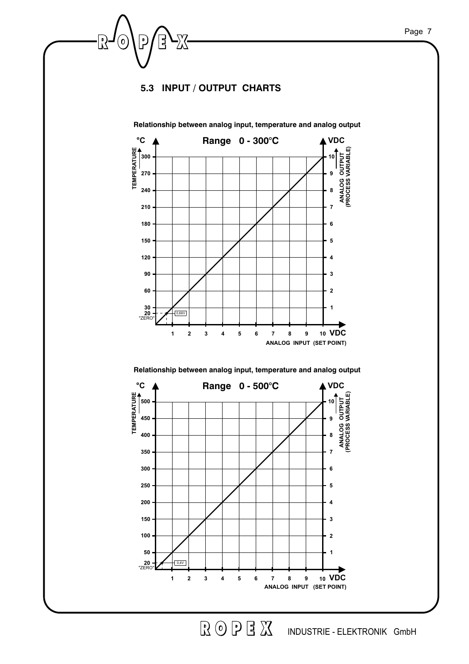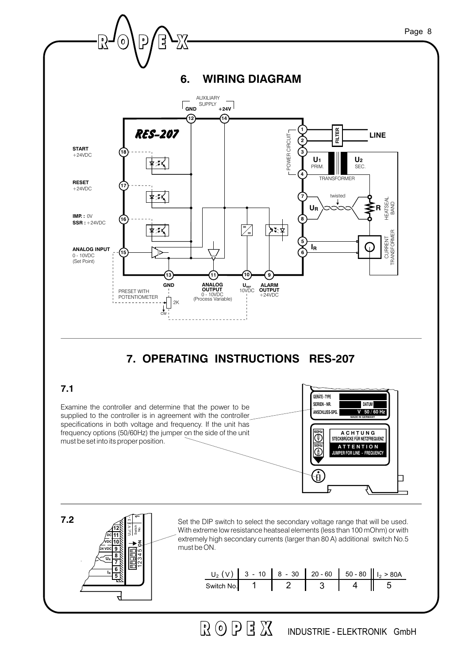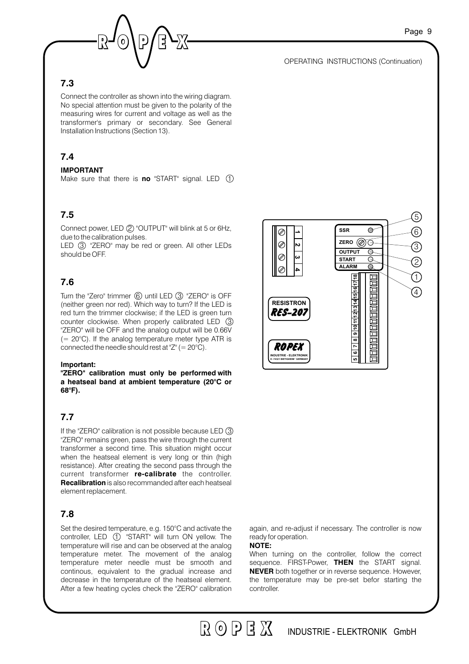

Page 9

### **7.3**

Connect the controller as shown into the wiring diagram. No special attention must be given to the polarity of the measuring wires for current and voltage as well as the transformer's primary or secondary. See General Installation Instructions (Section 13).

### **7.4**

#### **IMPORTANT**

Make sure that there is **no** "START" signal. LED  $(1)$ 

#### **7.5**

Connect power, LED 2 "OUTPUT" will blink at 5 or 6Hz, due to the calibration pulses.

LED 3 "ZERO" may be red or green. All other LEDs should be OFF.

#### **7.6**

Turn the "Zero" trimmer 6 until LED 3 "ZERO" is OFF (neither green nor red). Which way to turn? If the LED is red turn the trimmer clockwise; if the LED is green turn counter clockwise. When properly calibrated LED  $(3)$ "ZERO" will be OFF and the analog output will be 0.66V  $(= 20^{\circ}$ C). If the analog temperature meter type ATR is connected the needle should rest at "Z" (=  $20^{\circ}$ C).

#### **Important:**

**"ZERO" calibration must only be performed with a heatseal band at ambient temperature (20°C or 68°F).**

### **7.7**

If the "ZERO" calibration is not possible because LED  $(3)$ "ZERO" remains green, pass the wire through the current transformer a second time. This situation might occur when the heatseal element is very long or thin (high resistance). After creating the second pass through the current transformer re-calibrate the controller. **Recalibration** is also recommanded after each heatseal element replacement.

#### **7.8**

Set the desired temperature, e.g. 150°C and activate the controller, LED  $(1)$  "START" will turn ON yellow. The temperature will rise and can be observed at the analog temperature meter. The movement of the analog temperature meter needle must be smooth and continous, equivalent to the gradual increase and decrease in the temperature of the heatseal element. After a few heating cycles check the "ZERO" calibration



again, and re-adjust if necessary. The controller is now ready for operation.

#### **NOTE:**

 $R$  (0)  $R$   $\approx$   $R$ 

When turning on the controller, follow the correct sequence. FIRST-Power, THEN the START signal. **NEVER** both together or in reverse sequence. However, the temperature may be pre-set befor starting the controller.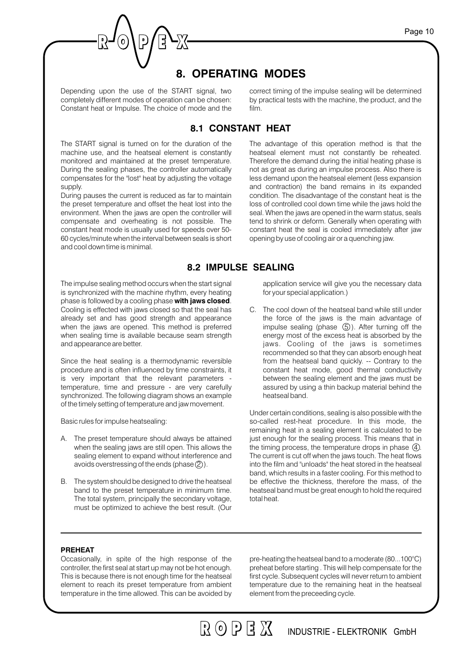## **8. OPERATING MODES**

Depending upon the use of the START signal, two completely different modes of operation can be chosen: Constant heat or Impulse. The choice of mode and the correct timing of the impulse sealing will be determined by practical tests with the machine, the product, and the film.

The advantage of this operation method is that the

### **8.1 CONSTANT HEAT**

The START signal is turned on for the duration of the machine use, and the heatseal element is constantly monitored and maintained at the preset temperature. During the sealing phases, the controller automatically compensates for the "lost" heat by adjusting the voltage supply.

During pauses the current is reduced as far to maintain the preset temperature and offset the heat lost into the environment. When the jaws are open the controller will compensate and overheating is not possible. The constant heat mode is usually used for speeds over 50- 60 cycles/minute when the interval between seals is short andcool down time is minimal.

heatseal element must not constantly be reheated. Therefore the demand during the initial heating phase is not as great as during an impulse process. Also there is less demand upon the heatseal element (less expansion and contraction) the band remains in its expanded condition. The disadvantage of the constant heat is the loss of controlled cool down time while the jaws hold the seal. When the jaws are opened in the warm status, seals tend to shrink or deform. Generally when operating with constant heat the seal is cooled immediately after jaw opening by use of cooling air or a quenching jaw.

### **8.2 IMPULSE SEALING**

The impulse sealing method occurs when the start signal is synchronized with the machine rhythm, every heating phase is followed by a cooling phase **with jaws closed**. Cooling is effected with jaws closed so that the seal has already set and has good strength and appearance when the jaws are opened. This method is preferred when sealing time is available because seam strength andappearance are better.

Since the heat sealing is a thermodynamic reversible procedure and is often influenced by time constraints, it is very important that the relevant parameters temperature, time and pressure - are very carefully synchronized. The following diagram shows an example of the timely setting of temperature and jaw movement.

Basic rules for impulse heatsealing:

- A. The preset temperature should always be attained when the sealing jaws are still open. This allows the sealing element to expand without interference and avoids overstressing of the ends (phase  $(2)$ ).
- B. The system should be designed to drive the heatseal band to the preset temperature in minimum time. The total system, principally the secondary voltage, must be optimized to achieve the best result. (Our

application service will give you the necessary data for your special application.)

C. The cool down of the heatseal band while still under the force of the jaws is the main advantage of impulse sealing (phase  $(5)$ ). After turning off the energy most of the excess heat is absorbed by the jaws. Cooling of the jaws is sometimes recommended so that they can absorb enough heat from the heatseal band quickly. -- Contrary to the constant heat mode, good thermal conductivity between the sealing element and the jaws must be assured by using a thin backup material behind the heatseal band.

Under certain conditions, sealing is also possible with the so-called rest-heat procedure. In this mode, the remaining heat in a sealing element is calculated to be just enough for the sealing process. This means that in the timing process, the temperature drops in phase  $(4)$ . The current is cut off when the jaws touch. The heat flows into the film and "unloads" the heat stored in the heatseal band, which results in a faster cooling. For this method to be effective the thickness, therefore the mass, of the heatseal band must be great enough to hold the required total heat.

#### **PREHEAT**

Occasionally, in spite of the high response of the controller, the first seal at start up may not be hot enough. This is because there is not enough time for the heatseal element to reach its preset temperature from ambient temperature in the time allowed. This can be avoided by

pre-heating the heatseal band to a moderate  $(80...100^{\circ}C)$ preheat before starting . This will help compensate for the first cycle. Subsequent cycles will never return to ambient temperature due to the remaining heat in the heatseal element from the preceeding cycle.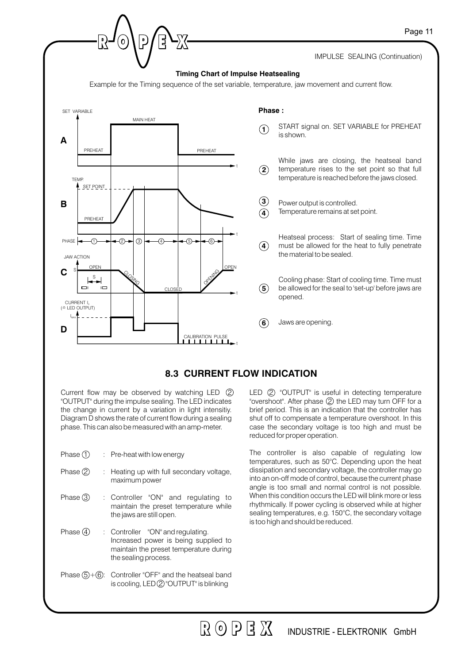

Current flow may be observed by watching LED  $(2)$ "OUTPUT" during the impulse sealing. The LED indicates the change in current by a variation in light intensitiy. Diagram D shows the rate of current flow during a sealing phase. This can also be measuredwith an amp-meter.

| Phase $\bigcirc$ |  | Pre-heat with low energy |  |
|------------------|--|--------------------------|--|
|------------------|--|--------------------------|--|

- : Heating up with full secondary voltage, maximum power Phase  $(2)$
- : Controller "ON" and regulating to maintain the preset temperature while the jaws are still open. Phase  $(3)$
- : Controller "ON" and regulating. Increased power is being supplied to maintain the preset temperature during the sealing process. Phase  $\mathcal{A}$
- Phase  $(5)+(6)$ : Controller "OFF" and the heatseal band is cooling, LED 2 "OUTPUT" is blinking

LED 2 "OUTPUT" is useful in detecting temperature "overshoot". After phase 2 the LED may turn OFF for a brief period. This is an indication that the controller has shut off to compensate a temperature overshoot. In this case the secondary voltage is too high and must be reduced for proper operation.

The controller is also capable of regulating low temperatures, such as 50°C. Depending upon the heat dissipation and secondary voltage, the controller may go into an on-off mode of control, because the current phase angle is too small and normal control is not possible. When this condition occurs the LED will blink more or less rhythmically. If power cycling is observed while at higher sealing temperatures, e.g. 150°C, the secondary voltage is too high and should be reduced.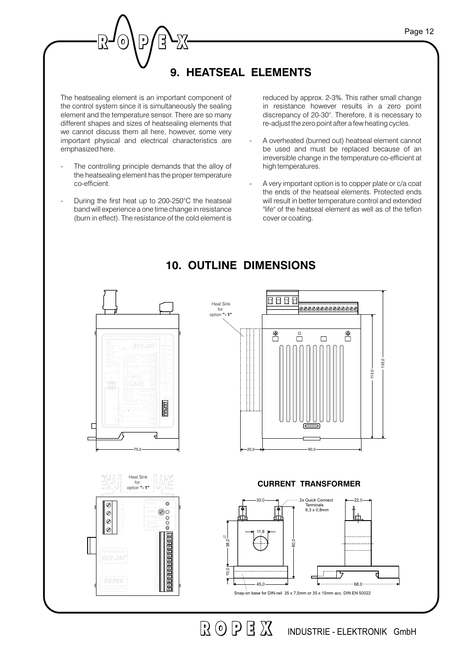# **9. HEATSEAL ELEMENTS**

The heatsealing element is an important component of the control system since it is simultaneously the sealing element and the temperature sensor. There are so many different shapes and sizes of heatsealing elements that we cannot discuss them all here, however, some very important physical and electrical characteristics are emphasized here.

 $\mathbf 0$ 

- The controlling principle demands that the alloy of the heatsealing element has the proper temperature co-efficient.
- During the first heat up to 200-250°C the heatseal bandwill experience a one time change in resistance (burn in effect). The resistance of the cold element is

reduced by approx. 2-3%. This rather small change in resistance however results in a zero point discrepancy of 20-30°. Therefore, it is necessary to re-adjust the zero point after a few heating cycles.

- A overheated (burned out) heatseal element cannot be used and must be replaced because of an irreversible change in the temperature co-efficient at high temperatures.
- A very important option is to copper plate or c/a coat the ends of the heatseal elements. Protected ends will result in better temperature control and extended "life" of the heatseal element as well as of the teflon cover or coating.



# **10. OUTLINE DIMENSIONS**

INDUSTRIE - ELEKTRONIK GmbH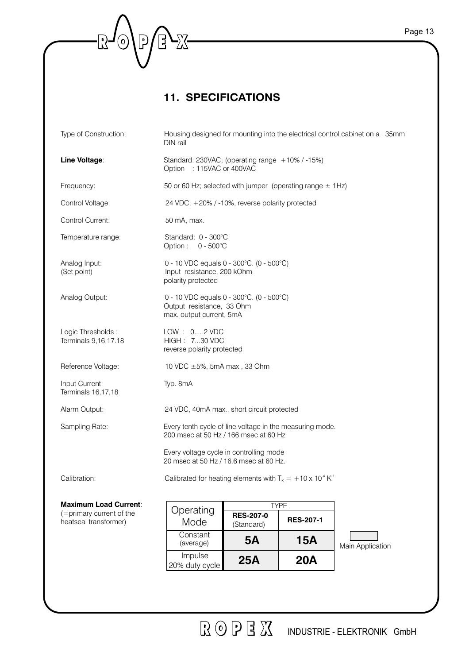## **11. SPECIFICATIONS**

 $\begin{picture}(20,5) \put(0,0){\line(1,0){15}} \put(15,0){\line(1,0){15}} \put(15,0){\line(1,0){15}} \put(15,0){\line(1,0){15}} \put(15,0){\line(1,0){15}} \put(15,0){\line(1,0){15}} \put(15,0){\line(1,0){15}} \put(15,0){\line(1,0){15}} \put(15,0){\line(1,0){15}} \put(15,0){\line(1,0){15}} \put(15,0){\line(1,0){15}} \put(15,0){\line(1,$ 

-R-©\&−

| Type of Construction:                                                             | Housing designed for mounting into the electrical control cabinet on a 35mm<br>DIN rail                                                                                                                   |
|-----------------------------------------------------------------------------------|-----------------------------------------------------------------------------------------------------------------------------------------------------------------------------------------------------------|
| Line Voltage:                                                                     | Standard: 230VAC; (operating range +10% / -15%)<br>Option : 115VAC or 400VAC                                                                                                                              |
| Frequency:                                                                        | 50 or 60 Hz; selected with jumper (operating range $\pm$ 1Hz)                                                                                                                                             |
| Control Voltage:                                                                  | 24 VDC, +20% / -10%, reverse polarity protected                                                                                                                                                           |
| Control Current:                                                                  | 50 mA, max.                                                                                                                                                                                               |
| Temperature range:                                                                | Standard: 0 - 300°C<br>Option: $0 - 500^{\circ}$ C                                                                                                                                                        |
| Analog Input:<br>(Set point)                                                      | 0 - 10 VDC equals 0 - 300°C. (0 - 500°C)<br>Input resistance, 200 kOhm<br>polarity protected                                                                                                              |
| Analog Output:                                                                    | 0 - 10 VDC equals 0 - 300°C. (0 - 500°C)<br>Output resistance, 33 Ohm<br>max. output current, 5mA                                                                                                         |
| Logic Thresholds:<br>Terminals 9,16,17.18                                         | LOW : 02 VDC<br>HIGH: 730 VDC<br>reverse polarity protected                                                                                                                                               |
| Reference Voltage:                                                                | 10 VDC $\pm$ 5%, 5mA max., 33 Ohm                                                                                                                                                                         |
| Input Current:<br>Terminals 16,17,18                                              | Typ. 8mA                                                                                                                                                                                                  |
| Alarm Output:                                                                     | 24 VDC, 40mA max., short circuit protected                                                                                                                                                                |
| Sampling Rate:                                                                    | Every tenth cycle of line voltage in the measuring mode.<br>200 msec at 50 Hz / 166 msec at 60 Hz                                                                                                         |
|                                                                                   | Every voltage cycle in controlling mode<br>20 msec at 50 Hz / 16.6 msec at 60 Hz.                                                                                                                         |
| Calibration:                                                                      | Calibrated for heating elements with $T_{K} = +10 \times 10^{-4} K^{-1}$                                                                                                                                  |
| <b>Maximum Load Current:</b><br>(=primary current of the<br>heatseal transformer) | <b>TYPE</b><br>Operating<br><b>RES-207-0</b><br><b>RES-207-1</b><br>Mode<br>(Standard)<br>Constant<br><b>15A</b><br><b>5A</b><br>(average)<br>Main Application<br>Impulse<br>25A<br>20A<br>20% duty cycle |
|                                                                                   |                                                                                                                                                                                                           |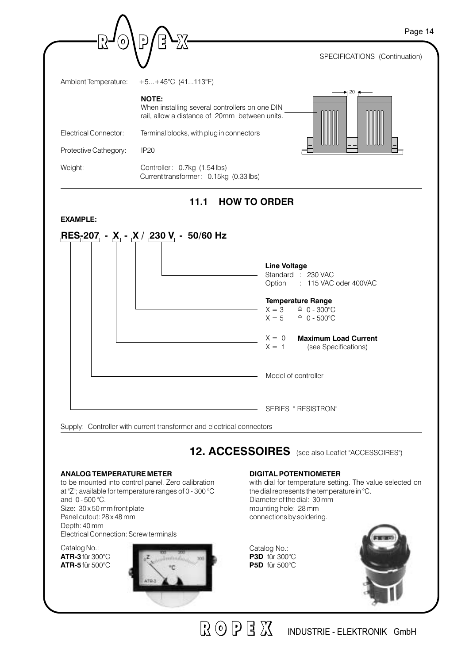|                              | รุ่<br>D                                                                                                                                                                                                                                                      | Page 14 |
|------------------------------|---------------------------------------------------------------------------------------------------------------------------------------------------------------------------------------------------------------------------------------------------------------|---------|
|                              | SPECIFICATIONS (Continuation)                                                                                                                                                                                                                                 |         |
| Ambient Temperature:         | $+5+45^{\circ}C(41113^{\circ}F)$                                                                                                                                                                                                                              |         |
|                              | 20<br><b>NOTE:</b><br>When installing several controllers on one DIN<br>rail, allow a distance of 20mm between units.                                                                                                                                         |         |
| <b>Electrical Connector:</b> | Terminal blocks, with plug in connectors                                                                                                                                                                                                                      |         |
| Protective Cathegory:        | <b>IP20</b>                                                                                                                                                                                                                                                   |         |
|                              |                                                                                                                                                                                                                                                               |         |
| Weight:<br><b>EXAMPLE:</b>   | Controller: 0.7kg (1.54 lbs)<br>Current transformer: 0.15kg (0.33 lbs)<br><b>HOW TO ORDER</b><br>11.1<br>RES <sub>ī</sub> 207 <sub>,</sub> - <sub>I</sub> X <sub>,</sub> - <sub>I</sub> X,/ <sub>I</sub> 230 V <sub>,</sub> - 50/60 Hz<br><b>Line Voltage</b> |         |
|                              | Standard : 230 VAC<br>Option<br>: 115 VAC oder 400VAC                                                                                                                                                                                                         |         |
|                              | <b>Temperature Range</b><br>$X = 3$<br>$\hat{=} 0 - 300^{\circ}C$<br>$X = 5$<br>$\hat{=}$ 0 - 500°C                                                                                                                                                           |         |
|                              | $X = 0$ Maximum Load Current<br>$X = 1$<br>(see Specifications)                                                                                                                                                                                               |         |
|                              | Model of controller                                                                                                                                                                                                                                           |         |

to be mounted into control panel. Zero calibration at "Z"; available for temperature ranges of 0 - 300 °C and  $0 - 500$  °C. Size: 30 x 50 mm front plate Panel cutout: 28 x 48 mm Depth: 40 mm Electrical Connection: Screw terminals

Catalog No.: **ATR-3** für 300°C **ATR-5** für 500°C



with dial for temperature setting. The value selected on the dial represents the temperature in °C. Diameter of the dial: 30 mm mounting hole: 28 mm connections by soldering.

Catalog No.: **P3D** für 300°C **P5D** für 500°C

 $R$   $\odot$   $P$   $\ddot{B}$   $X$ 



INDUSTRIE - ELEKTRONIK GmbH